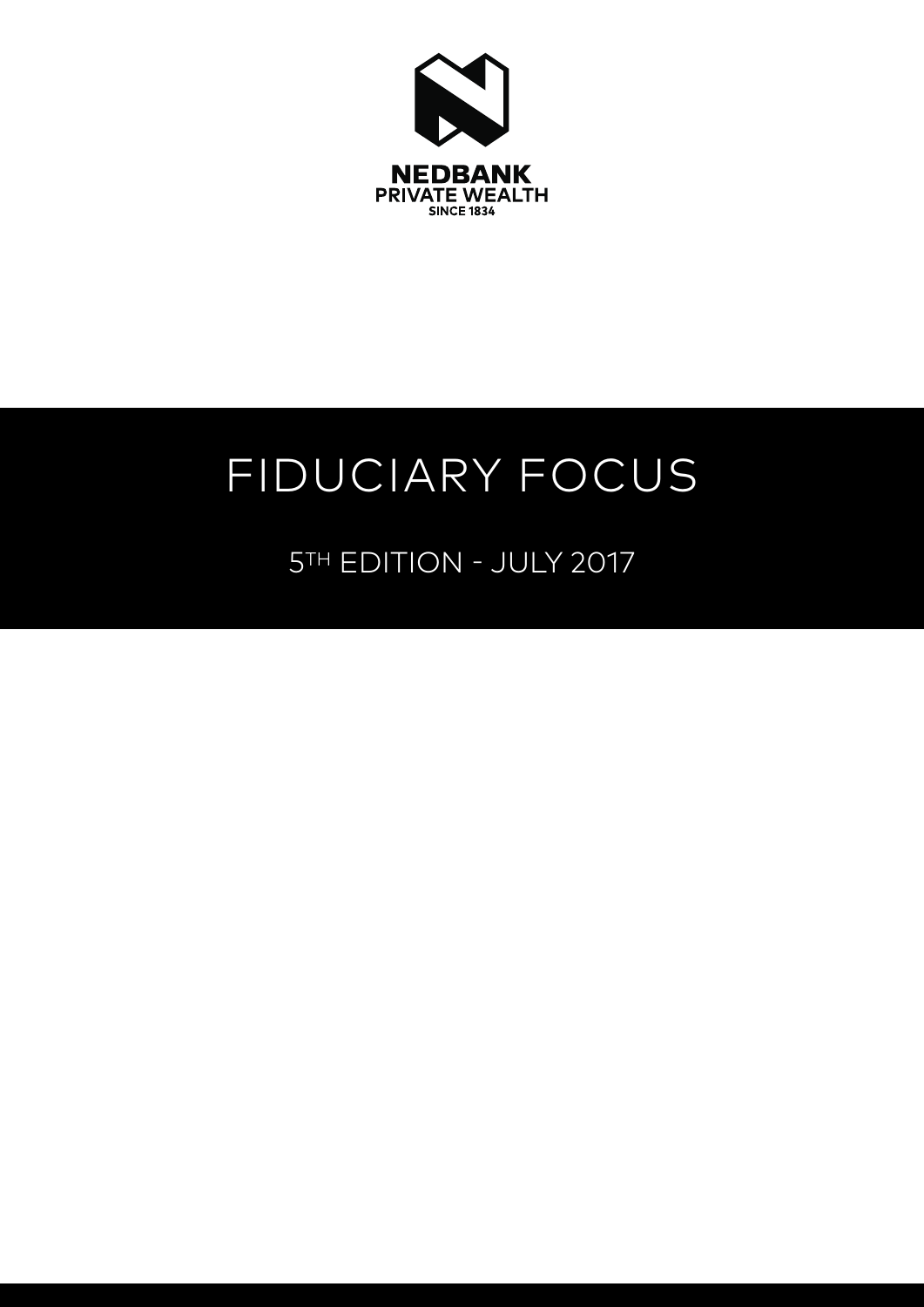

# FIDUCIARY FOCUS

5TH EDITION - JULY 2017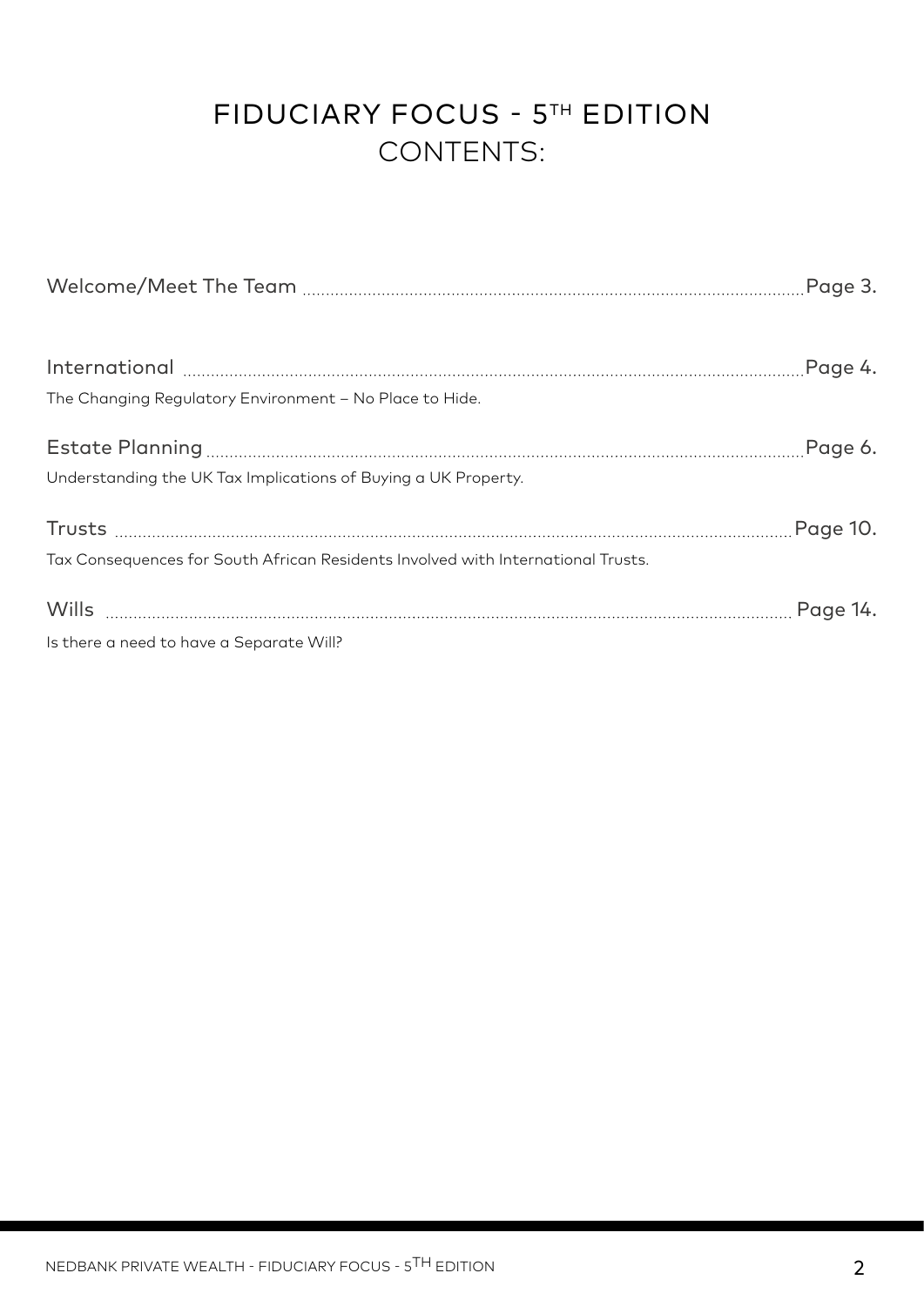# FIDUCIARY FOCUS - 5TH EDITION CONTENTS:

| The Changing Regulatory Environment - No Place to Hide.                          |         |
|----------------------------------------------------------------------------------|---------|
| Understanding the UK Tax Implications of Buying a UK Property.                   | Page 6. |
| Tax Consequences for South African Residents Involved with International Trusts. |         |
| Is there a need to have a Separate Will?                                         |         |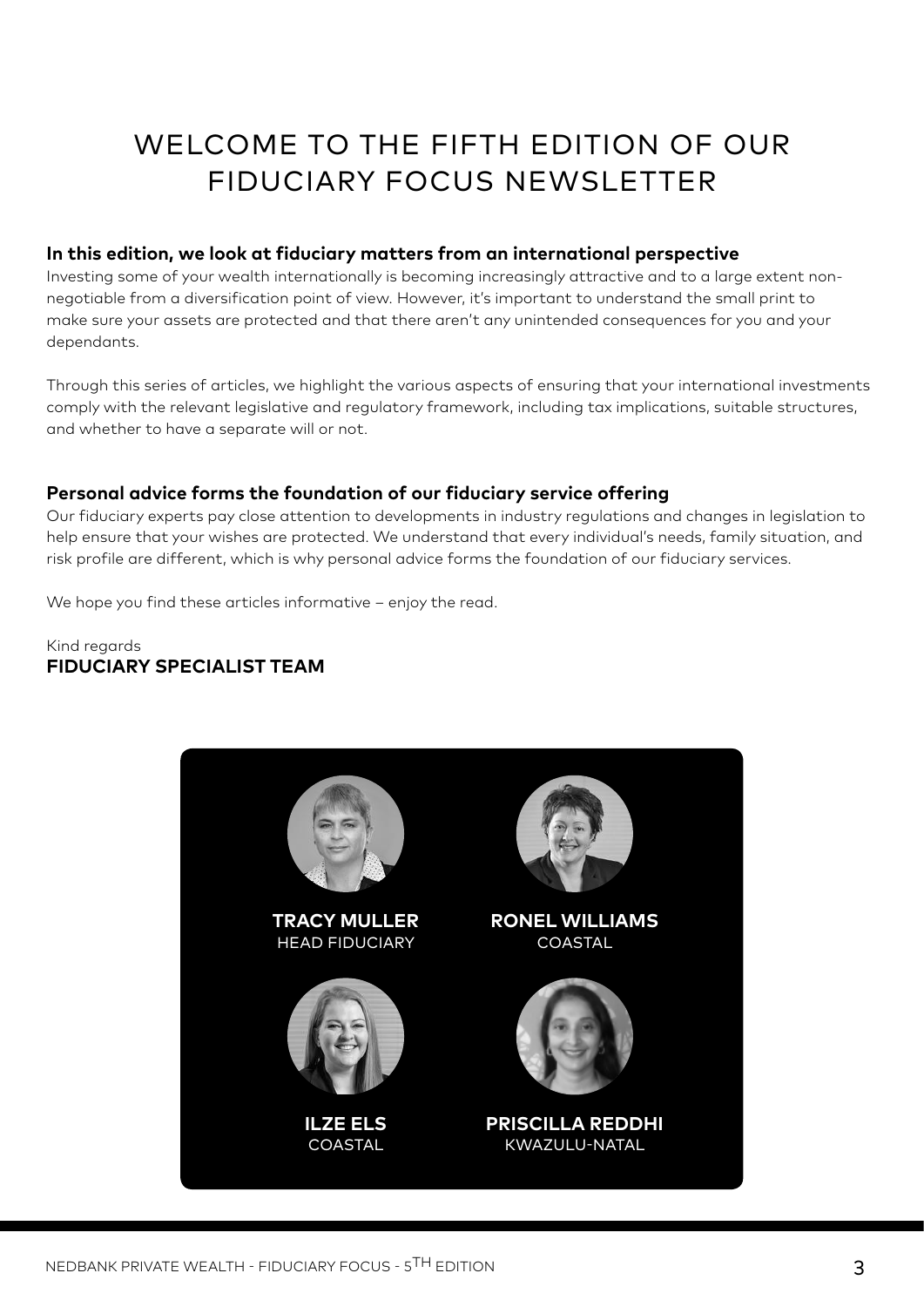# WELCOME TO THE FIFTH EDITION OF OUR FIDUCIARY FOCUS NEWSLETTER

#### **In this edition, we look at fiduciary matters from an international perspective**

Investing some of your wealth internationally is becoming increasingly attractive and to a large extent nonnegotiable from a diversification point of view. However, it's important to understand the small print to make sure your assets are protected and that there aren't any unintended consequences for you and your dependants.

Through this series of articles, we highlight the various aspects of ensuring that your international investments comply with the relevant legislative and regulatory framework, including tax implications, suitable structures, and whether to have a separate will or not.

#### **Personal advice forms the foundation of our fiduciary service offering**

Our fiduciary experts pay close attention to developments in industry regulations and changes in legislation to help ensure that your wishes are protected. We understand that every individual's needs, family situation, and risk profile are different, which is why personal advice forms the foundation of our fiduciary services.

We hope you find these articles informative – enjoy the read.

#### Kind regards **FIDUCIARY SPECIALIST TEAM**

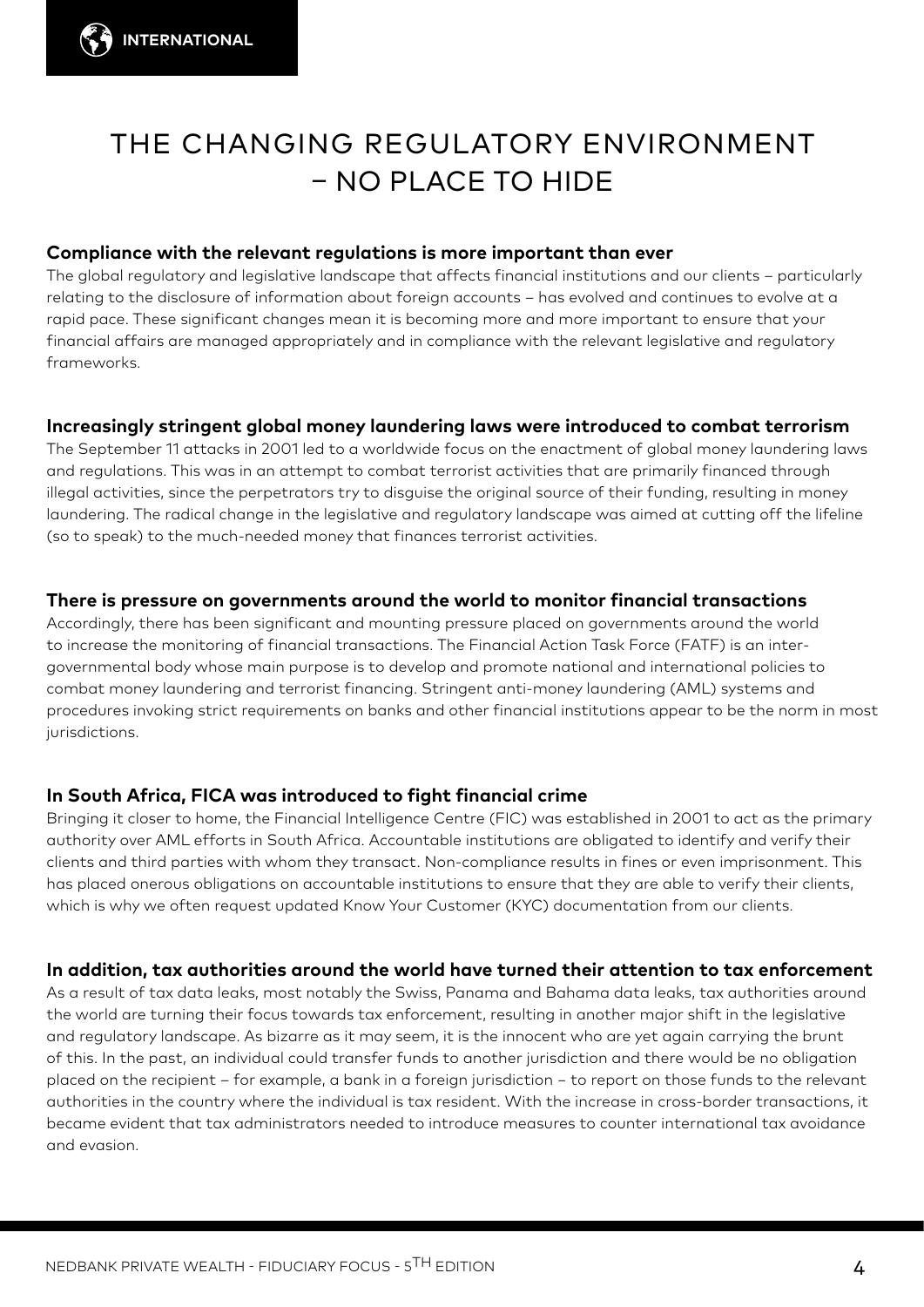# THE CHANGING REGULATORY ENVIRONMENT – NO PLACE TO HIDE

#### **Compliance with the relevant regulations is more important than ever**

The global regulatory and legislative landscape that affects financial institutions and our clients – particularly relating to the disclosure of information about foreign accounts – has evolved and continues to evolve at a rapid pace. These significant changes mean it is becoming more and more important to ensure that your financial affairs are managed appropriately and in compliance with the relevant legislative and regulatory frameworks.

#### **Increasingly stringent global money laundering laws were introduced to combat terrorism**

The September 11 attacks in 2001 led to a worldwide focus on the enactment of global money laundering laws and regulations. This was in an attempt to combat terrorist activities that are primarily financed through illegal activities, since the perpetrators try to disguise the original source of their funding, resulting in money laundering. The radical change in the legislative and regulatory landscape was aimed at cutting off the lifeline (so to speak) to the much-needed money that finances terrorist activities.

#### **There is pressure on governments around the world to monitor financial transactions**

Accordingly, there has been significant and mounting pressure placed on governments around the world to increase the monitoring of financial transactions. The Financial Action Task Force (FATF) is an intergovernmental body whose main purpose is to develop and promote national and international policies to combat money laundering and terrorist financing. Stringent anti-money laundering (AML) systems and procedures invoking strict requirements on banks and other financial institutions appear to be the norm in most jurisdictions.

#### **In South Africa, FICA was introduced to fight financial crime**

Bringing it closer to home, the Financial Intelligence Centre (FIC) was established in 2001 to act as the primary authority over AML efforts in South Africa. Accountable institutions are obligated to identify and verify their clients and third parties with whom they transact. Non-compliance results in fines or even imprisonment. This has placed onerous obligations on accountable institutions to ensure that they are able to verify their clients, which is why we often request updated Know Your Customer (KYC) documentation from our clients.

#### **In addition, tax authorities around the world have turned their attention to tax enforcement**

As a result of tax data leaks, most notably the Swiss, Panama and Bahama data leaks, tax authorities around the world are turning their focus towards tax enforcement, resulting in another major shift in the legislative and regulatory landscape. As bizarre as it may seem, it is the innocent who are yet again carrying the brunt of this. In the past, an individual could transfer funds to another jurisdiction and there would be no obligation placed on the recipient – for example, a bank in a foreign jurisdiction − to report on those funds to the relevant authorities in the country where the individual is tax resident. With the increase in cross-border transactions, it became evident that tax administrators needed to introduce measures to counter international tax avoidance and evasion.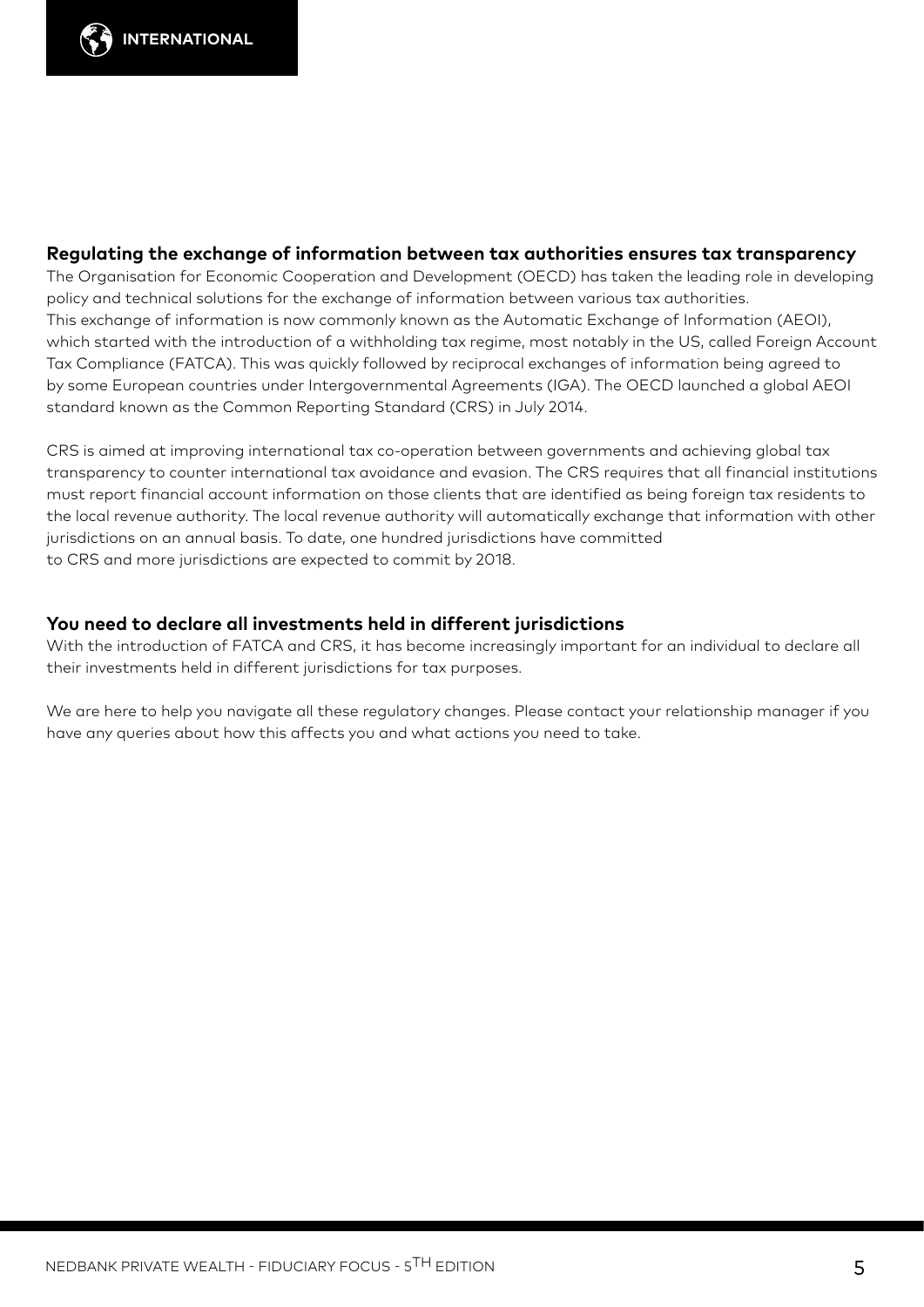

#### **Regulating the exchange of information between tax authorities ensures tax transparency**

The Organisation for Economic Cooperation and Development (OECD) has taken the leading role in developing policy and technical solutions for the exchange of information between various tax authorities. This exchange of information is now commonly known as the Automatic Exchange of Information (AEOI), which started with the introduction of a withholding tax regime, most notably in the US, called Foreign Account Tax Compliance (FATCA). This was quickly followed by reciprocal exchanges of information being agreed to by some European countries under Intergovernmental Agreements (IGA). The OECD launched a global AEOI standard known as the Common Reporting Standard (CRS) in July 2014.

CRS is aimed at improving international tax co-operation between governments and achieving global tax transparency to counter international tax avoidance and evasion. The CRS requires that all financial institutions must report financial account information on those clients that are identified as being foreign tax residents to the local revenue authority. The local revenue authority will automatically exchange that information with other jurisdictions on an annual basis. To date, one hundred jurisdictions have committed to CRS and more jurisdictions are expected to commit by 2018.

#### **You need to declare all investments held in different jurisdictions**

With the introduction of FATCA and CRS, it has become increasingly important for an individual to declare all their investments held in different jurisdictions for tax purposes.

We are here to help you navigate all these regulatory changes. Please contact your relationship manager if you have any queries about how this affects you and what actions you need to take.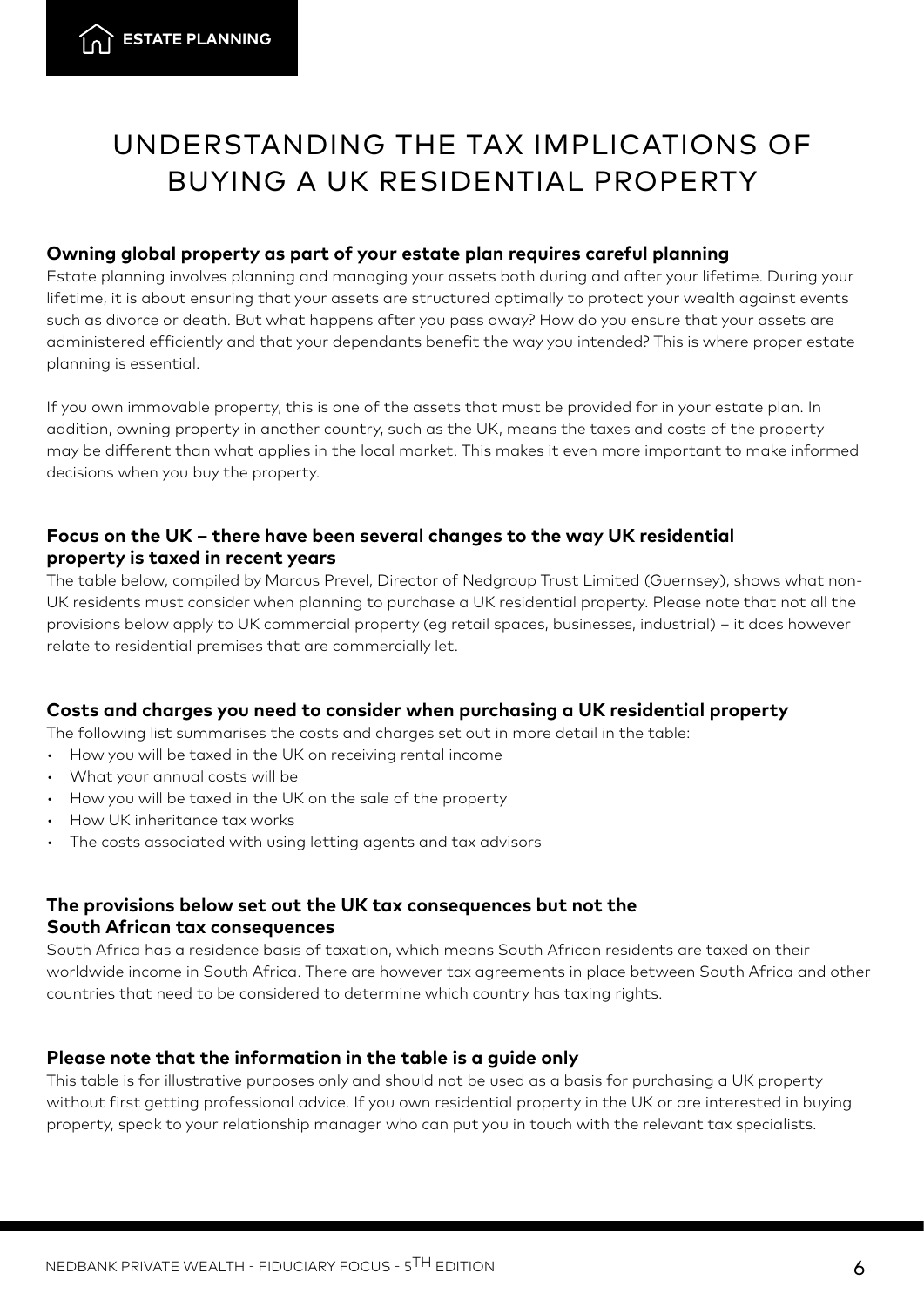# UNDERSTANDING THE TAX IMPLICATIONS OF BUYING A UK RESIDENTIAL PROPERTY

#### **Owning global property as part of your estate plan requires careful planning**

Estate planning involves planning and managing your assets both during and after your lifetime. During your lifetime, it is about ensuring that your assets are structured optimally to protect your wealth against events such as divorce or death. But what happens after you pass away? How do you ensure that your assets are administered efficiently and that your dependants benefit the way you intended? This is where proper estate planning is essential.

If you own immovable property, this is one of the assets that must be provided for in your estate plan. In addition, owning property in another country, such as the UK, means the taxes and costs of the property may be different than what applies in the local market. This makes it even more important to make informed decisions when you buy the property.

#### **Focus on the UK – there have been several changes to the way UK residential property is taxed in recent years**

The table below, compiled by Marcus Prevel, Director of Nedgroup Trust Limited (Guernsey), shows what non-UK residents must consider when planning to purchase a UK residential property. Please note that not all the provisions below apply to UK commercial property (eg retail spaces, businesses, industrial) – it does however relate to residential premises that are commercially let.

#### **Costs and charges you need to consider when purchasing a UK residential property**

The following list summarises the costs and charges set out in more detail in the table:

- How you will be taxed in the UK on receiving rental income<br>• What your annual costs will be
- 
- How you will be taxed in the UK on the sale of the property
- How UK inheritance tax works
- The costs associated with using letting agents and tax advisors

#### **The provisions below set out the UK tax consequences but not the South African tax consequences**

South Africa has a residence basis of taxation, which means South African residents are taxed on their worldwide income in South Africa. There are however tax agreements in place between South Africa and other countries that need to be considered to determine which country has taxing rights.

#### **Please note that the information in the table is a guide only**

This table is for illustrative purposes only and should not be used as a basis for purchasing a UK property without first getting professional advice. If you own residential property in the UK or are interested in buying property, speak to your relationship manager who can put you in touch with the relevant tax specialists.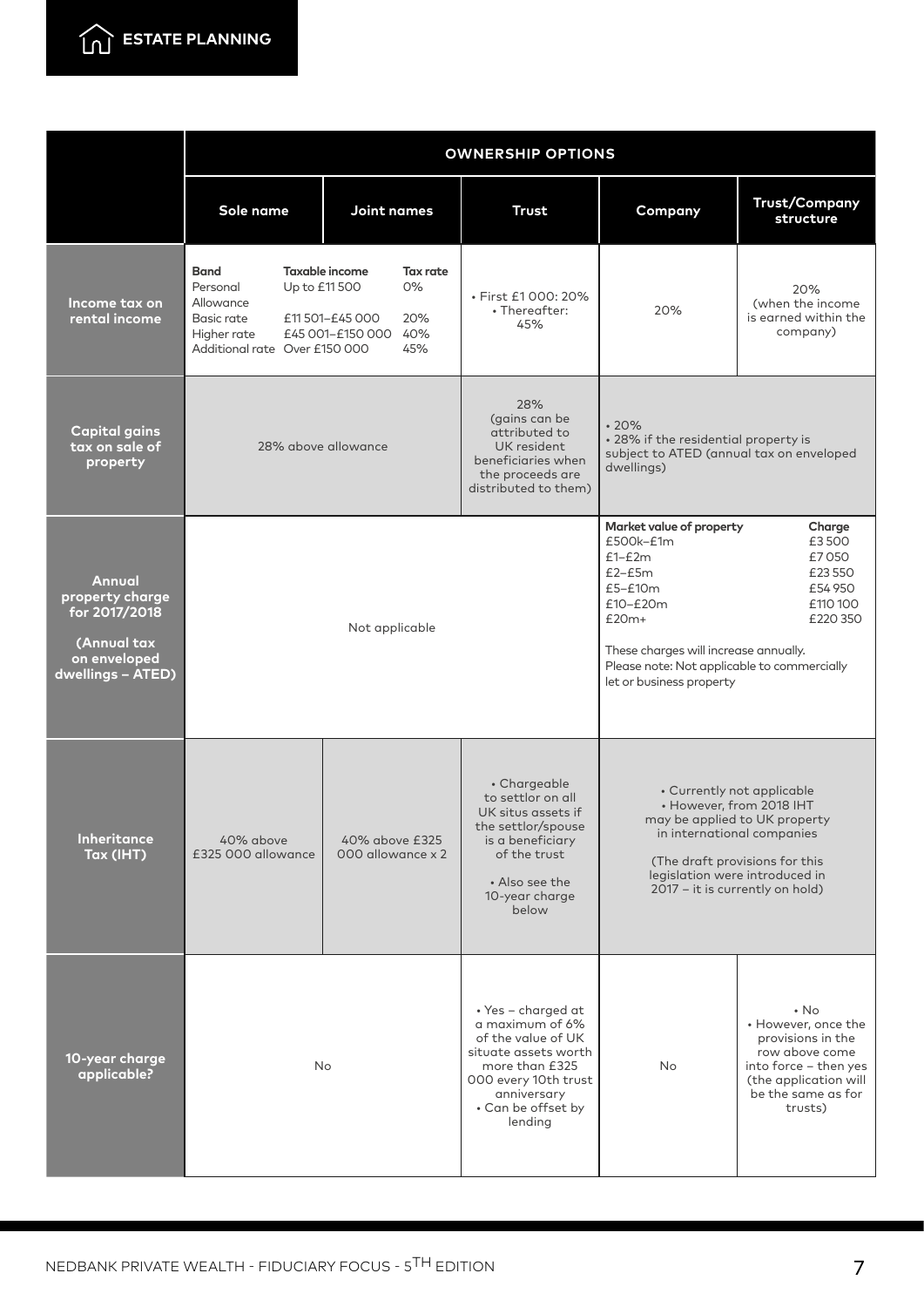

|                                                                                                | <b>OWNERSHIP OPTIONS</b>                                                                                            |                                                                                                         |                                                                                                                                                                                                                                                                                                    |                                                                                                                                   |                                                                                                                                                             |
|------------------------------------------------------------------------------------------------|---------------------------------------------------------------------------------------------------------------------|---------------------------------------------------------------------------------------------------------|----------------------------------------------------------------------------------------------------------------------------------------------------------------------------------------------------------------------------------------------------------------------------------------------------|-----------------------------------------------------------------------------------------------------------------------------------|-------------------------------------------------------------------------------------------------------------------------------------------------------------|
|                                                                                                | Sole name                                                                                                           | Joint names                                                                                             | <b>Trust</b>                                                                                                                                                                                                                                                                                       | Company                                                                                                                           | <b>Trust/Company</b><br>structure                                                                                                                           |
| Income tax on<br>rental income                                                                 | <b>Band</b><br>Up to £11 500<br>Personal<br>Allowance<br>Basic rate<br>Higher rate<br>Additional rate Over £150 000 | <b>Taxable income</b><br><b>Tax rate</b><br>0%<br>£11 501-£45 000<br>20%<br>£45 001-£150 000 40%<br>45% | · First £1000: 20%<br>• Thereafter:<br>45%                                                                                                                                                                                                                                                         | 20%                                                                                                                               | 20%<br>(when the income<br>is earned within the<br>company)                                                                                                 |
| <b>Capital gains</b><br>tax on sale of<br>property                                             | 28% above allowance                                                                                                 |                                                                                                         | 28%<br>(gains can be<br>attributed to<br>UK resident<br>beneficiaries when<br>the proceeds are<br>distributed to them)                                                                                                                                                                             | .20%<br>• 28% if the residential property is<br>subject to ATED (annual tax on enveloped<br>dwellings)                            |                                                                                                                                                             |
| Annual<br>property charge<br>for 2017/2018<br>(Annual tax<br>on enveloped<br>dwellings - ATED) | Not applicable                                                                                                      |                                                                                                         | Market value of property<br>Charge<br>$£500k-E1m$<br>£3500<br>$£1-E2m$<br>£7050<br>$£2-E5m$<br>£23550<br>$£5 - £10m$<br>£54 950<br>£10-£20m<br>£110 100<br>$£20m+$<br>£220 350<br>These charges will increase annually.<br>Please note: Not applicable to commercially<br>let or business property |                                                                                                                                   |                                                                                                                                                             |
| Inheritance<br>Tax (IHT)                                                                       | 40% above<br>£325 000 allowance                                                                                     | 40% above £325<br>000 allowance x 2                                                                     | • Chargeable<br>to settlor on all<br>UK situs assets if<br>the settlor/spouse<br>is a beneficiary<br>of the trust<br>• Also see the<br>10-year charge<br>below                                                                                                                                     | in international companies<br>(The draft provisions for this<br>legislation were introduced in<br>2017 - it is currently on hold) | • Currently not applicable<br>• However, from 2018 IHT<br>may be applied to UK property                                                                     |
| 10-year charge<br>applicable?                                                                  | No                                                                                                                  |                                                                                                         | • Yes - charged at<br>a maximum of 6%<br>of the value of UK<br>situate assets worth<br>more than £325<br>000 every 10th trust<br>anniversary<br>• Can be offset by<br>lending                                                                                                                      | No                                                                                                                                | $\cdot$ No<br>• However, once the<br>provisions in the<br>row above come<br>into force - then yes<br>(the application will<br>be the same as for<br>trusts) |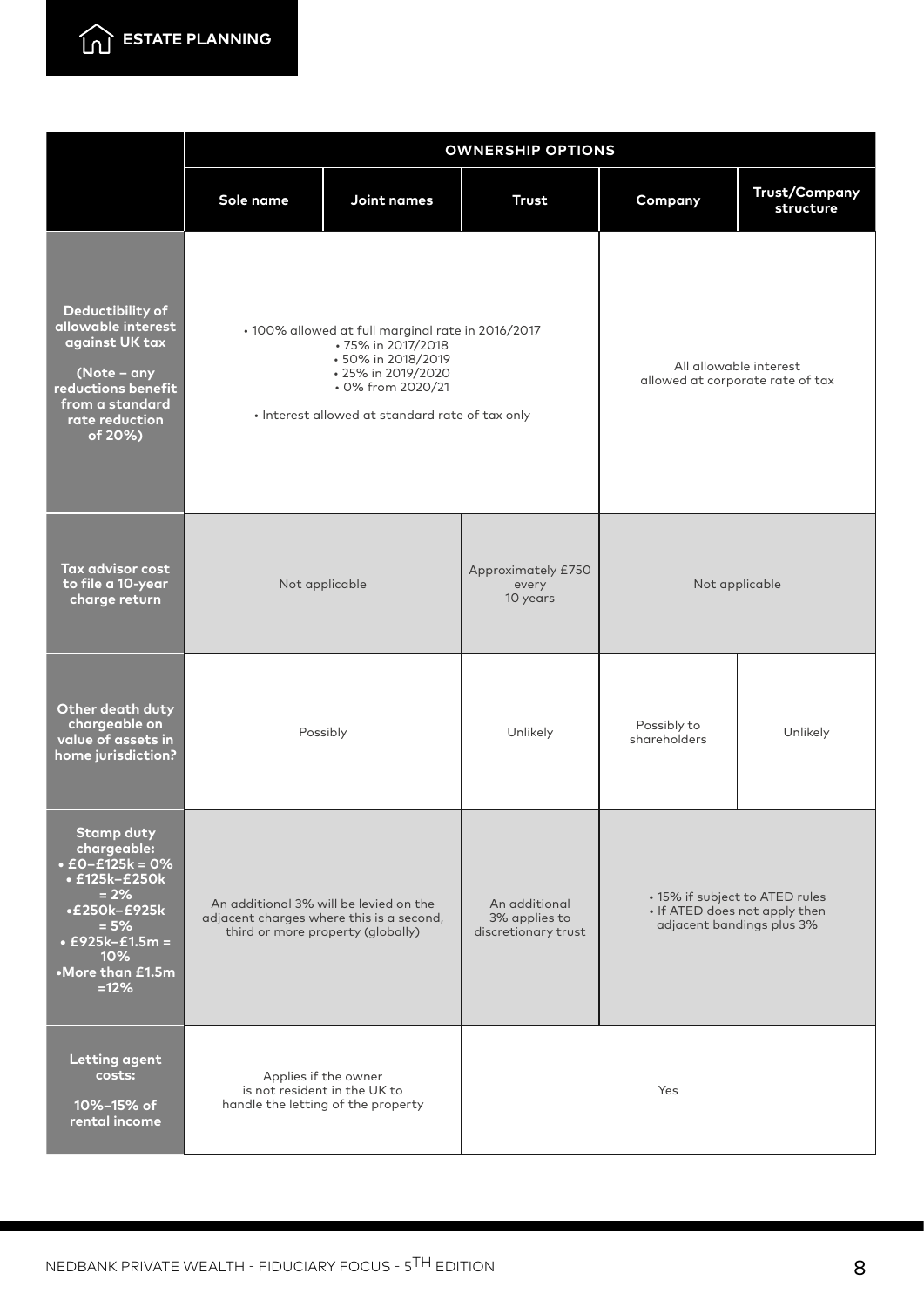

|                                                                                                                                                                              | <b>OWNERSHIP OPTIONS</b>                                                                                                                                                                    |             |                                                       |                                                                                              |                                   |
|------------------------------------------------------------------------------------------------------------------------------------------------------------------------------|---------------------------------------------------------------------------------------------------------------------------------------------------------------------------------------------|-------------|-------------------------------------------------------|----------------------------------------------------------------------------------------------|-----------------------------------|
|                                                                                                                                                                              | Sole name                                                                                                                                                                                   | Joint names | <b>Trust</b>                                          | Company                                                                                      | <b>Trust/Company</b><br>structure |
| Deductibility of<br>allowable interest<br>against UK tax<br>(Note - any<br>reductions benefit<br>from a standard<br>rate reduction<br>of 20%)                                | · 100% allowed at full marginal rate in 2016/2017<br>- 75% in 2017/2018<br>• 50% in 2018/2019<br>• 25% in 2019/2020<br>• 0% from 2020/21<br>· Interest allowed at standard rate of tax only |             |                                                       | All allowable interest<br>allowed at corporate rate of tax                                   |                                   |
| Tax advisor cost<br>to file a 10-year<br>charge return                                                                                                                       | Not applicable                                                                                                                                                                              |             | Approximately £750<br>every<br>10 years               | Not applicable                                                                               |                                   |
| Other death duty<br>chargeable on<br>value of assets in<br>home jurisdiction?                                                                                                | Possibly                                                                                                                                                                                    |             | Unlikely                                              | Possibly to<br>shareholders                                                                  | Unlikely                          |
| <b>Stamp duty</b><br>chargeable:<br>$\cdot$ £0-£125k = 0%<br>• £125k-£250k<br>$= 2%$<br>•£250k-£925k<br>$= 5%$<br>$\cdot$ £925k-£1.5m =<br>10%<br>•More than £1.5m<br>$=12%$ | An additional 3% will be levied on the<br>adjacent charges where this is a second,<br>third or more property (globally)                                                                     |             | An additional<br>3% applies to<br>discretionary trust | • 15% if subject to ATED rules<br>• If ATED does not apply then<br>adjacent bandings plus 3% |                                   |
| <b>Letting agent</b><br>costs:<br>10%-15% of<br>rental income                                                                                                                | Applies if the owner<br>is not resident in the UK to<br>handle the letting of the property                                                                                                  |             | Yes                                                   |                                                                                              |                                   |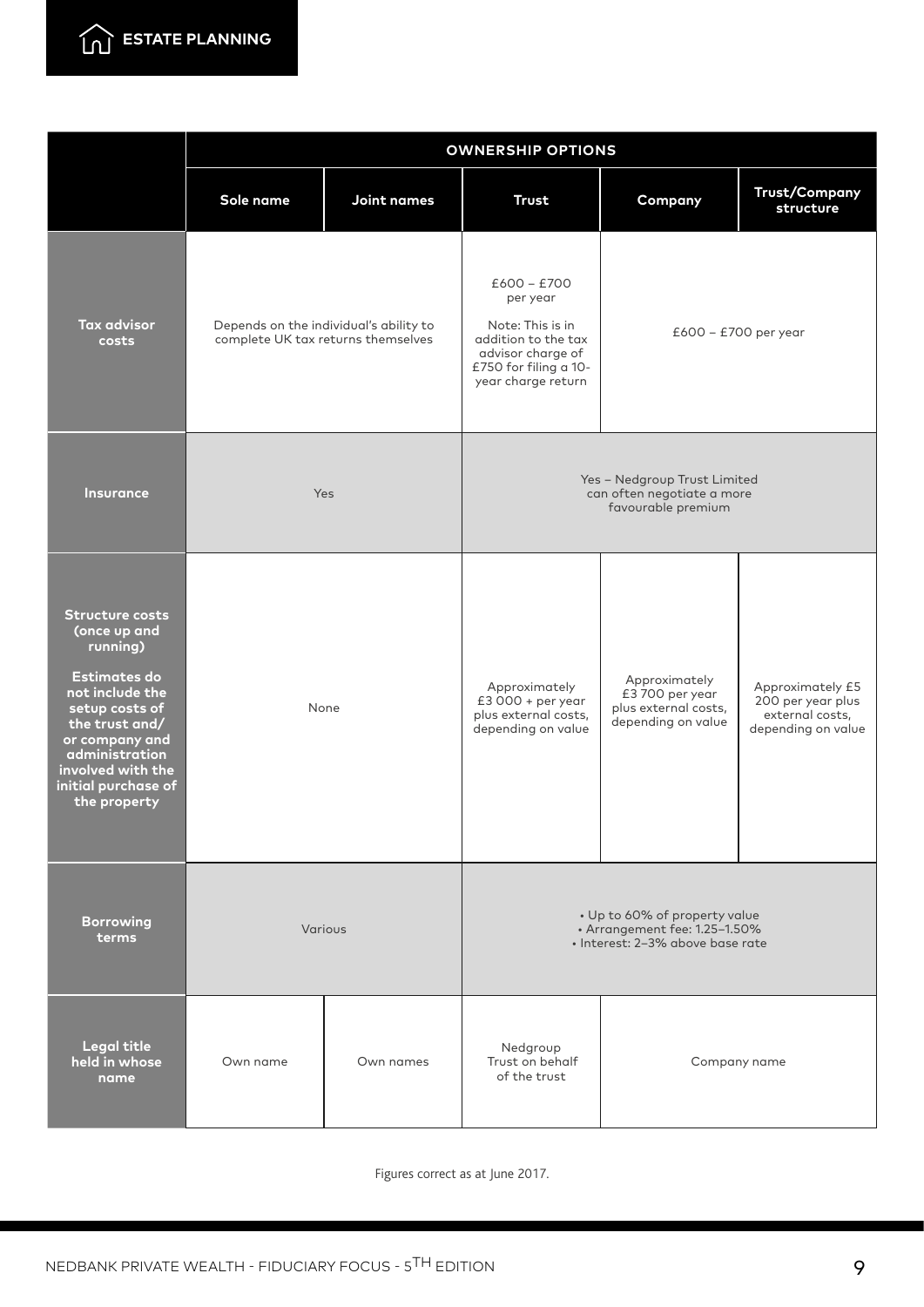

|                                                                                                                                                                                                                                  | <b>OWNERSHIP OPTIONS</b>                                                     |             |                                                                                                                                          |                                                                               |                                                                                |
|----------------------------------------------------------------------------------------------------------------------------------------------------------------------------------------------------------------------------------|------------------------------------------------------------------------------|-------------|------------------------------------------------------------------------------------------------------------------------------------------|-------------------------------------------------------------------------------|--------------------------------------------------------------------------------|
|                                                                                                                                                                                                                                  | Sole name                                                                    | Joint names | <b>Trust</b>                                                                                                                             | Company                                                                       | <b>Trust/Company</b><br>structure                                              |
| <b>Tax advisor</b><br>costs                                                                                                                                                                                                      | Depends on the individual's ability to<br>complete UK tax returns themselves |             | $£600 - £700$<br>per year<br>Note: This is in<br>addition to the tax<br>advisor charge of<br>£750 for filing a 10-<br>year charge return | £600 - £700 per year                                                          |                                                                                |
| <b>Insurance</b>                                                                                                                                                                                                                 | Yes                                                                          |             | Yes - Nedgroup Trust Limited<br>can often negotiate a more<br>favourable premium                                                         |                                                                               |                                                                                |
| <b>Structure costs</b><br>(once up and<br>running)<br><b>Estimates do</b><br>not include the<br>setup costs of<br>the trust and/<br>or company and<br>administration<br>involved with the<br>initial purchase of<br>the property | None                                                                         |             | Approximately<br>$£3000 + per year$<br>plus external costs,<br>depending on value                                                        | Approximately<br>£3700 per year<br>plus external costs,<br>depending on value | Approximately £5<br>200 per year plus<br>external costs,<br>depending on value |
| <b>Borrowing</b><br>terms                                                                                                                                                                                                        | Various                                                                      |             | • Up to 60% of property value<br>· Arrangement fee: 1.25-1.50%<br>· Interest: 2-3% above base rate                                       |                                                                               |                                                                                |
| <b>Legal title</b><br>held in whose<br>name                                                                                                                                                                                      | Own name                                                                     | Own names   | Nedgroup<br>Trust on behalf<br>of the trust                                                                                              | Company name                                                                  |                                                                                |

Figures correct as at June 2017.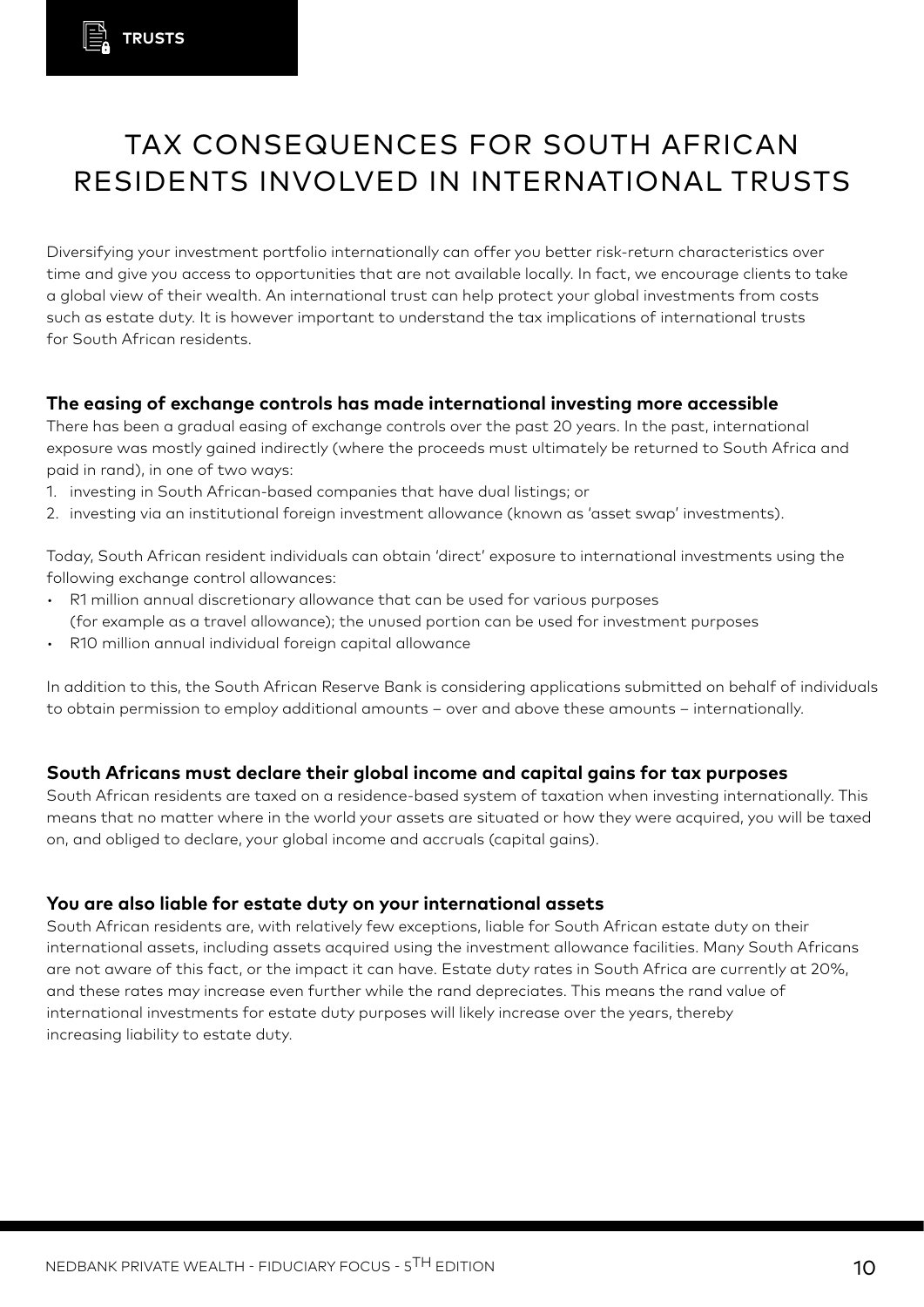# TAX CONSEQUENCES FOR SOUTH AFRICAN RESIDENTS INVOLVED IN INTERNATIONAL TRUSTS

Diversifying your investment portfolio internationally can offer you better risk-return characteristics over time and give you access to opportunities that are not available locally. In fact, we encourage clients to take a global view of their wealth. An international trust can help protect your global investments from costs such as estate duty. It is however important to understand the tax implications of international trusts for South African residents.

#### **The easing of exchange controls has made international investing more accessible**

There has been a gradual easing of exchange controls over the past 20 years. In the past, international exposure was mostly gained indirectly (where the proceeds must ultimately be returned to South Africa and paid in rand), in one of two ways:

- 1. investing in South African-based companies that have dual listings; or
- 2. investing via an institutional foreign investment allowance (known as 'asset swap' investments).

Today, South African resident individuals can obtain 'direct' exposure to international investments using the following exchange control allowances:

- • R1 million annual discretionary allowance that can be used for various purposes (for example as a travel allowance); the unused portion can be used for investment purposes
- R10 million annual individual foreign capital allowance

In addition to this, the South African Reserve Bank is considering applications submitted on behalf of individuals to obtain permission to employ additional amounts – over and above these amounts – internationally.

#### **South Africans must declare their global income and capital gains for tax purposes**

South African residents are taxed on a residence-based system of taxation when investing internationally. This means that no matter where in the world your assets are situated or how they were acquired, you will be taxed on, and obliged to declare, your global income and accruals (capital gains).

#### **You are also liable for estate duty on your international assets**

South African residents are, with relatively few exceptions, liable for South African estate duty on their international assets, including assets acquired using the investment allowance facilities. Many South Africans are not aware of this fact, or the impact it can have. Estate duty rates in South Africa are currently at 20%, and these rates may increase even further while the rand depreciates. This means the rand value of international investments for estate duty purposes will likely increase over the years, thereby increasing liability to estate duty.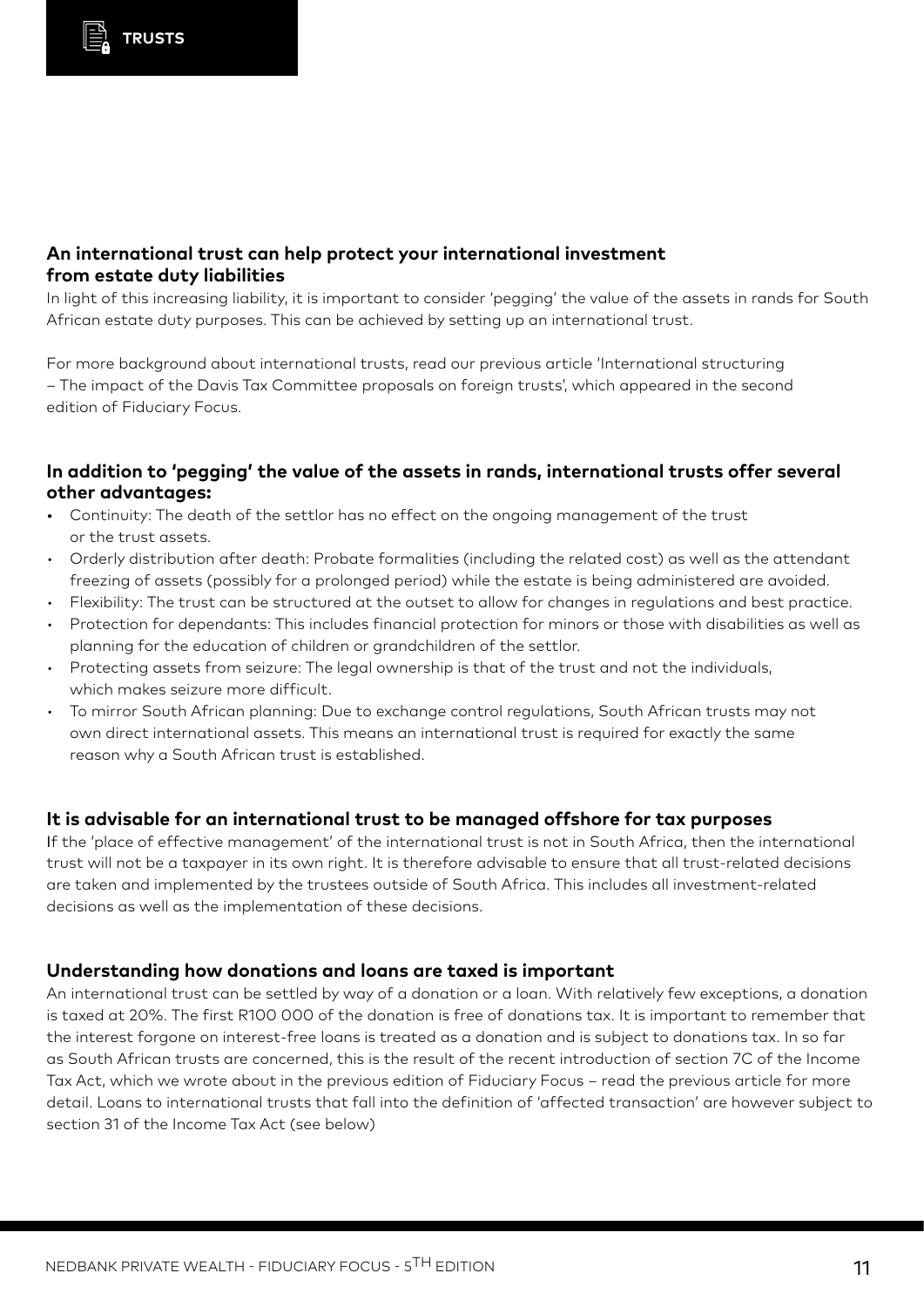#### **An international trust can help protect your international investment from estate duty liabilities**

In light of this increasing liability, it is important to consider 'pegging' the value of the assets in rands for South African estate duty purposes. This can be achieved by setting up an international trust.

For more background about international trusts, read our previous article 'International structuring – The impact of the Davis Tax Committee proposals on foreign trusts', which appeared in the second edition of Fiduciary Focus.

#### **In addition to 'pegging' the value of the assets in rands, international trusts offer several other advantages:**

- Continuity: The death of the settlor has no effect on the ongoing management of the trust or the trust assets.
- Orderly distribution after death: Probate formalities (including the related cost) as well as the attendant freezing of assets (possibly for a prolonged period) while the estate is being administered are avoided.
- • Flexibility: The trust can be structured at the outset to allow for changes in regulations and best practice.
- Protection for dependants: This includes financial protection for minors or those with disabilities as well as planning for the education of children or grandchildren of the settlor.
- • Protecting assets from seizure: The legal ownership is that of the trust and not the individuals, which makes seizure more difficult.
- To mirror South African planning: Due to exchange control regulations, South African trusts may not own direct international assets. This means an international trust is required for exactly the same reason why a South African trust is established.

#### **It is advisable for an international trust to be managed offshore for tax purposes**

If the 'place of effective management' of the international trust is not in South Africa, then the international trust will not be a taxpayer in its own right. It is therefore advisable to ensure that all trust-related decisions are taken and implemented by the trustees outside of South Africa. This includes all investment-related decisions as well as the implementation of these decisions.

#### **Understanding how donations and loans are taxed is important**

An international trust can be settled by way of a donation or a loan. With relatively few exceptions, a donation is taxed at 20%. The first R100 000 of the donation is free of donations tax. It is important to remember that the interest forgone on interest-free loans is treated as a donation and is subject to donations tax. In so far as South African trusts are concerned, this is the result of the recent introduction of section 7C of the Income Tax Act, which we wrote about in the previous edition of Fiduciary Focus – read the previous article for more detail. Loans to international trusts that fall into the definition of 'affected transaction' are however subject to section 31 of the Income Tax Act (see below)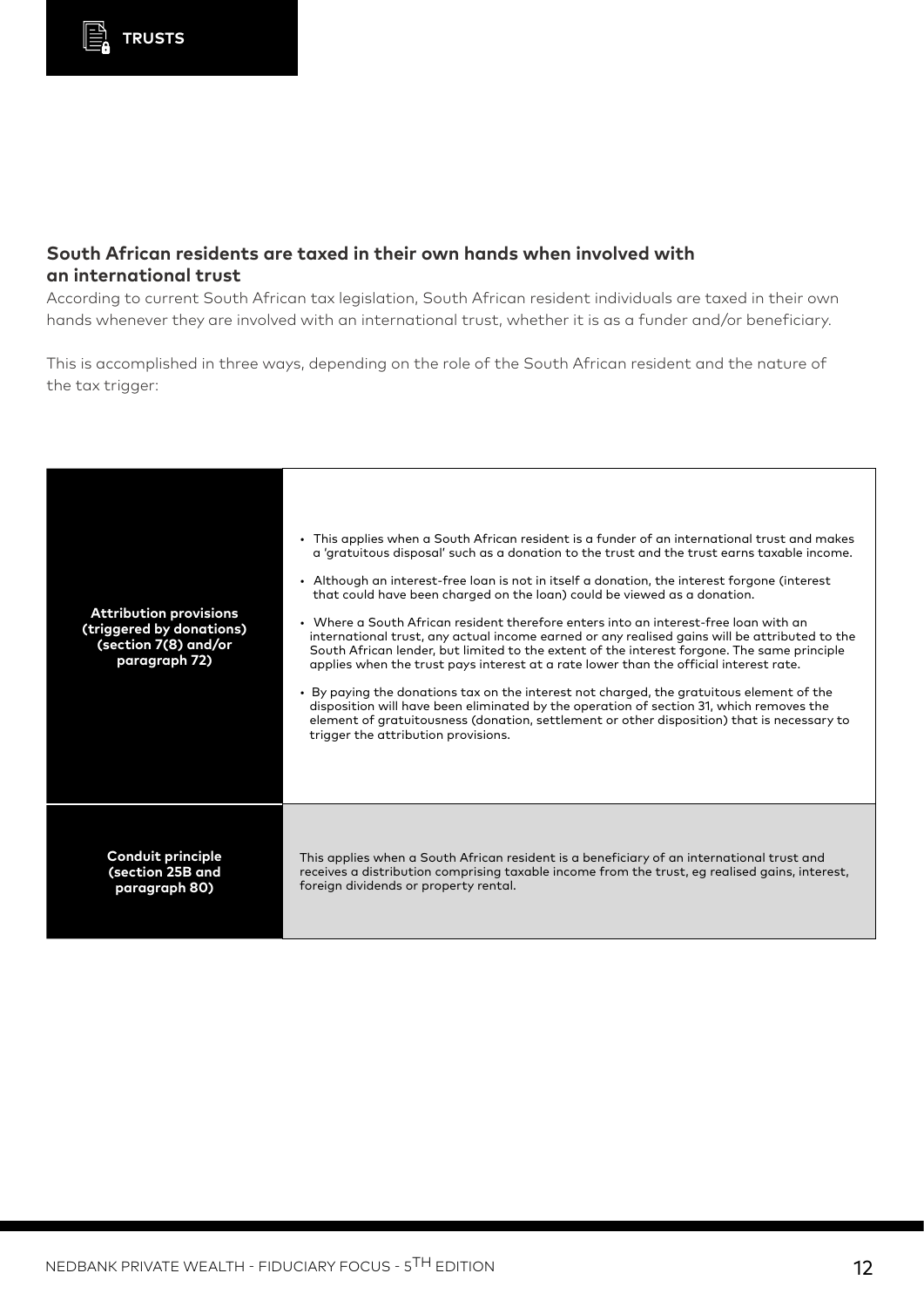#### **South African residents are taxed in their own hands when involved with an international trust**

According to current South African tax legislation, South African resident individuals are taxed in their own hands whenever they are involved with an international trust, whether it is as a funder and/or beneficiary.

This is accomplished in three ways, depending on the role of the South African resident and the nature of the tax trigger:

| <b>Attribution provisions</b><br>(triggered by donations)<br>(section 7(8) and/or<br>paragraph 72) | • This applies when a South African resident is a funder of an international trust and makes<br>a 'gratuitous disposal' such as a donation to the trust and the trust earns taxable income.<br>• Although an interest-free loan is not in itself a donation, the interest forgone (interest<br>that could have been charged on the loan) could be viewed as a donation.<br>• Where a South African resident therefore enters into an interest-free loan with an<br>international trust, any actual income earned or any realised gains will be attributed to the<br>South African lender, but limited to the extent of the interest forgone. The same principle<br>applies when the trust pays interest at a rate lower than the official interest rate.<br>• By paying the donations tax on the interest not charged, the gratuitous element of the<br>disposition will have been eliminated by the operation of section 31, which removes the<br>element of gratuitousness (donation, settlement or other disposition) that is necessary to<br>trigger the attribution provisions. |
|----------------------------------------------------------------------------------------------------|--------------------------------------------------------------------------------------------------------------------------------------------------------------------------------------------------------------------------------------------------------------------------------------------------------------------------------------------------------------------------------------------------------------------------------------------------------------------------------------------------------------------------------------------------------------------------------------------------------------------------------------------------------------------------------------------------------------------------------------------------------------------------------------------------------------------------------------------------------------------------------------------------------------------------------------------------------------------------------------------------------------------------------------------------------------------------------------|
| Conduit principle                                                                                  | This applies when a South African resident is a beneficiary of an international trust and                                                                                                                                                                                                                                                                                                                                                                                                                                                                                                                                                                                                                                                                                                                                                                                                                                                                                                                                                                                            |
| (section 25B and                                                                                   | receives a distribution comprising taxable income from the trust, eq realised gains, interest,                                                                                                                                                                                                                                                                                                                                                                                                                                                                                                                                                                                                                                                                                                                                                                                                                                                                                                                                                                                       |
| paragraph 80)                                                                                      | foreign dividends or property rental.                                                                                                                                                                                                                                                                                                                                                                                                                                                                                                                                                                                                                                                                                                                                                                                                                                                                                                                                                                                                                                                |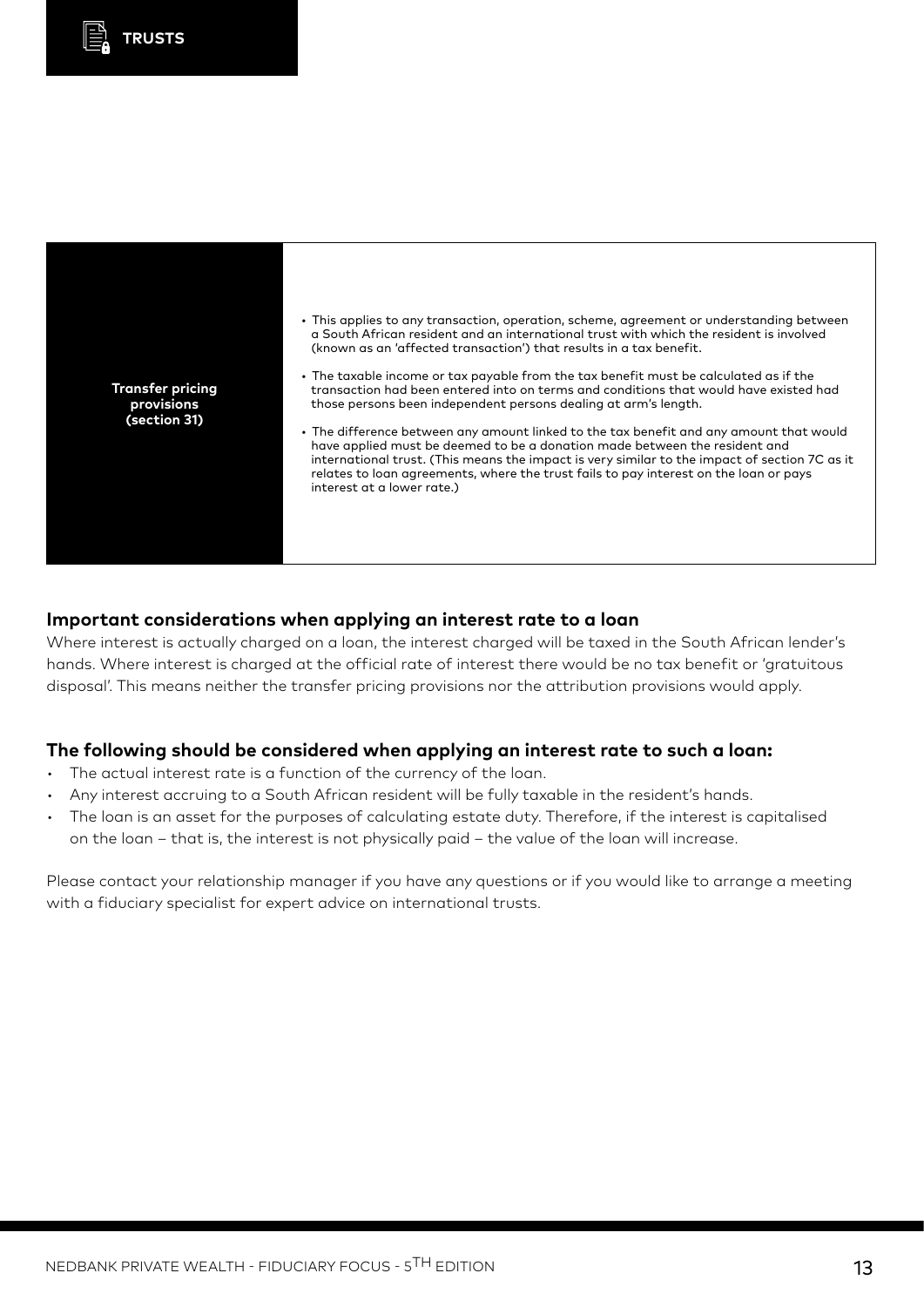



#### **Important considerations when applying an interest rate to a loan**

Where interest is actually charged on a loan, the interest charged will be taxed in the South African lender's hands. Where interest is charged at the official rate of interest there would be no tax benefit or 'gratuitous disposal'. This means neither the transfer pricing provisions nor the attribution provisions would apply.

#### **The following should be considered when applying an interest rate to such a loan:**

- The actual interest rate is a function of the currency of the loan.
- Any interest accruing to a South African resident will be fully taxable in the resident's hands.
- The loan is an asset for the purposes of calculating estate duty. Therefore, if the interest is capitalised on the loan – that is, the interest is not physically paid – the value of the loan will increase.

Please contact your relationship manager if you have any questions or if you would like to arrange a meeting with a fiduciary specialist for expert advice on international trusts.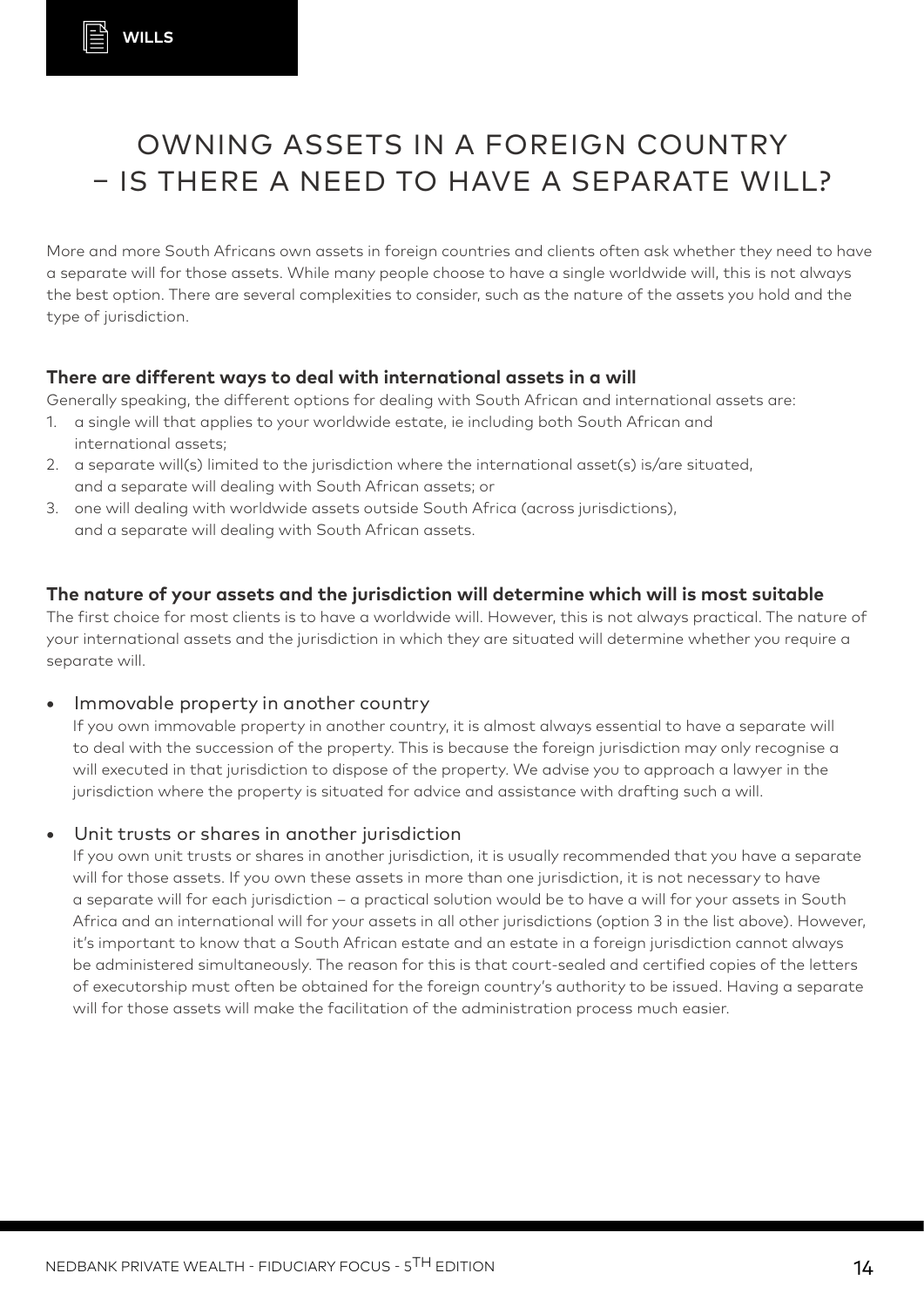# OWNING ASSETS IN A FOREIGN COUNTRY – IS THERE A NEED TO HAVE A SEPARATE WILL?

More and more South Africans own assets in foreign countries and clients often ask whether they need to have a separate will for those assets. While many people choose to have a single worldwide will, this is not always the best option. There are several complexities to consider, such as the nature of the assets you hold and the type of jurisdiction.

### **There are different ways to deal with international assets in a will**

Generally speaking, the different options for dealing with South African and international assets are:

- 1. a single will that applies to your worldwide estate, ie including both South African and international assets;
- 2. a separate will(s) limited to the jurisdiction where the international asset(s) is/are situated, and a separate will dealing with South African assets; or
- 3. one will dealing with worldwide assets outside South Africa (across jurisdictions), and a separate will dealing with South African assets.

### **The nature of your assets and the jurisdiction will determine which will is most suitable**

The first choice for most clients is to have a worldwide will. However, this is not always practical. The nature of your international assets and the jurisdiction in which they are situated will determine whether you require a separate will.

#### **•** Immovable property in another country

If you own immovable property in another country, it is almost always essential to have a separate will to deal with the succession of the property. This is because the foreign jurisdiction may only recognise a will executed in that jurisdiction to dispose of the property. We advise you to approach a lawyer in the jurisdiction where the property is situated for advice and assistance with drafting such a will.

### **•** Unit trusts or shares in another jurisdiction

If you own unit trusts or shares in another jurisdiction, it is usually recommended that you have a separate will for those assets. If you own these assets in more than one jurisdiction, it is not necessary to have a separate will for each jurisdiction – a practical solution would be to have a will for your assets in South Africa and an international will for your assets in all other jurisdictions (option 3 in the list above). However, it's important to know that a South African estate and an estate in a foreign jurisdiction cannot always be administered simultaneously. The reason for this is that court-sealed and certified copies of the letters of executorship must often be obtained for the foreign country's authority to be issued. Having a separate will for those assets will make the facilitation of the administration process much easier.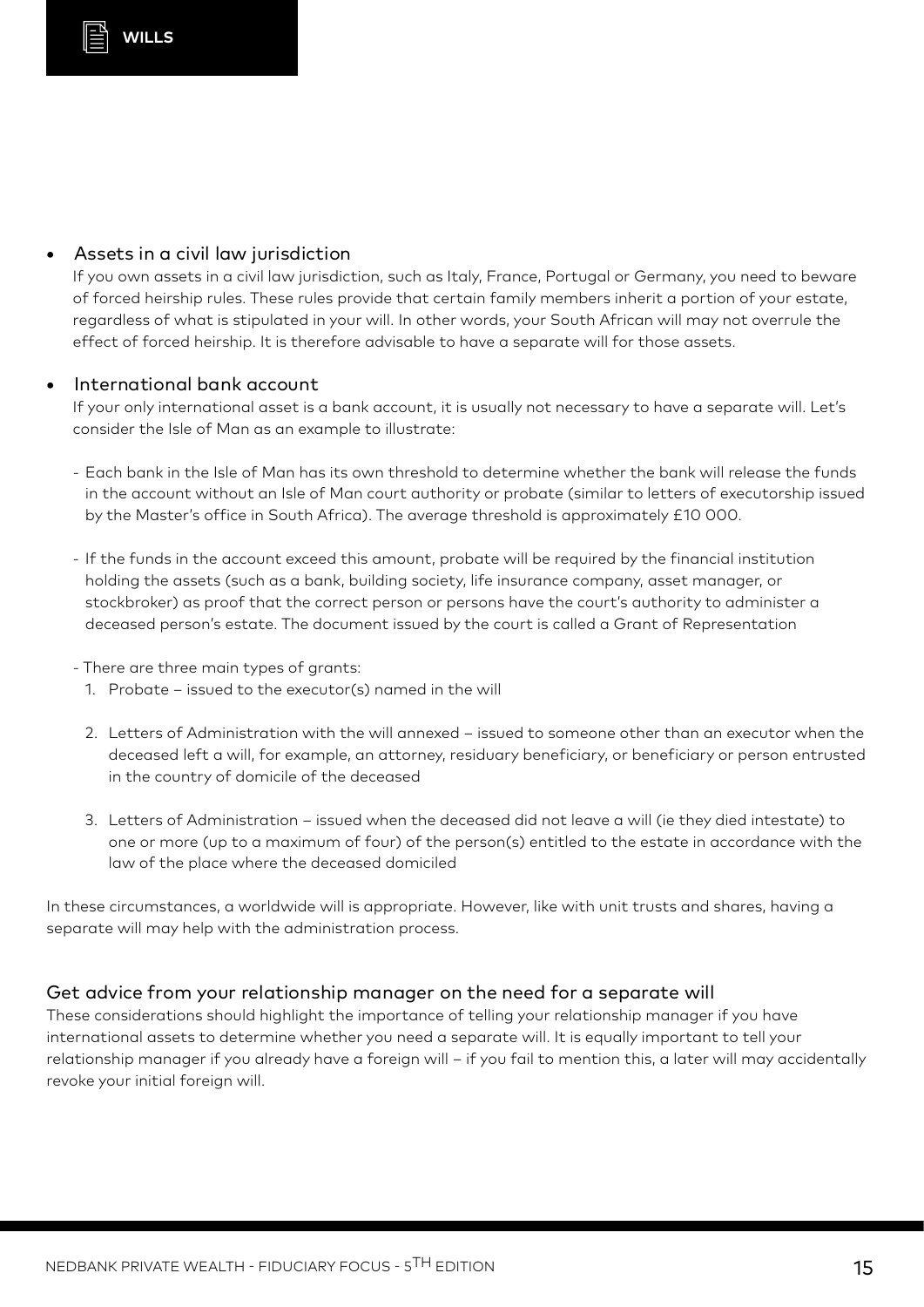### **•** Assets in a civil law jurisdiction

If you own assets in a civil law jurisdiction, such as Italy, France, Portugal or Germany, you need to beware of forced heirship rules. These rules provide that certain family members inherit a portion of your estate, regardless of what is stipulated in your will. In other words, your South African will may not overrule the effect of forced heirship. It is therefore advisable to have a separate will for those assets.

#### **•** International bank account

If your only international asset is a bank account, it is usually not necessary to have a separate will. Let's consider the Isle of Man as an example to illustrate:

- Each bank in the Isle of Man has its own threshold to determine whether the bank will release the funds in the account without an Isle of Man court authority or probate (similar to letters of executorship issued by the Master's office in South Africa). The average threshold is approximately £10 000.
- If the funds in the account exceed this amount, probate will be required by the financial institution holding the assets (such as a bank, building society, life insurance company, asset manager, or stockbroker) as proof that the correct person or persons have the court's authority to administer a deceased person's estate. The document issued by the court is called a Grant of Representation
- There are three main types of grants:
	- 1. Probate issued to the executor(s) named in the will
	- 2. Letters of Administration with the will annexed issued to someone other than an executor when the deceased left a will, for example, an attorney, residuary beneficiary, or beneficiary or person entrusted in the country of domicile of the deceased
	- 3. Letters of Administration issued when the deceased did not leave a will (ie they died intestate) to one or more (up to a maximum of four) of the person(s) entitled to the estate in accordance with the law of the place where the deceased domiciled

In these circumstances, a worldwide will is appropriate. However, like with unit trusts and shares, having a separate will may help with the administration process.

### Get advice from your relationship manager on the need for a separate will

These considerations should highlight the importance of telling your relationship manager if you have international assets to determine whether you need a separate will. It is equally important to tell your relationship manager if you already have a foreign will – if you fail to mention this, a later will may accidentally revoke your initial foreign will.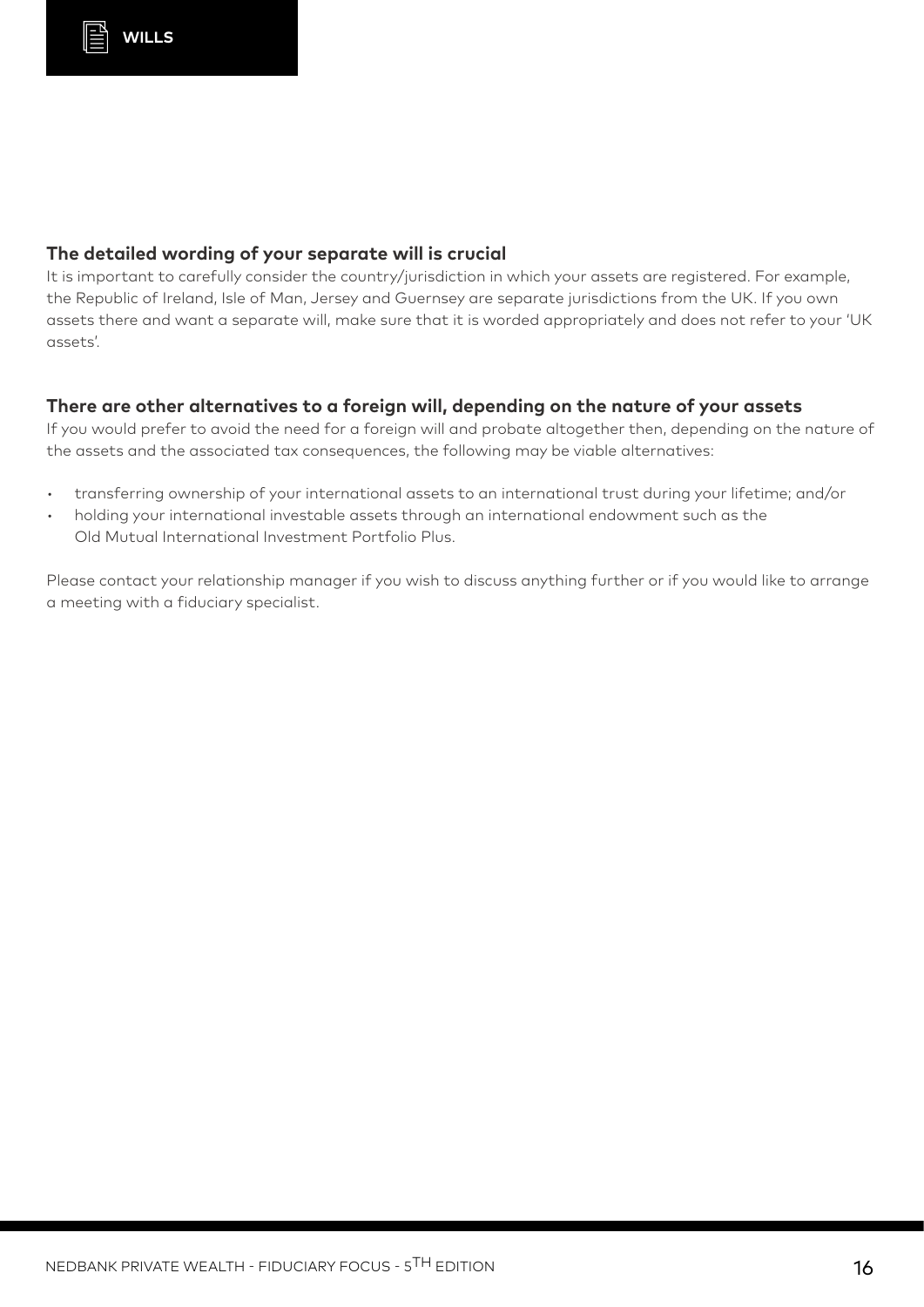#### **The detailed wording of your separate will is crucial**

It is important to carefully consider the country/jurisdiction in which your assets are registered. For example, the Republic of Ireland, Isle of Man, Jersey and Guernsey are separate jurisdictions from the UK. If you own assets there and want a separate will, make sure that it is worded appropriately and does not refer to your 'UK assets'.

#### **There are other alternatives to a foreign will, depending on the nature of your assets**

If you would prefer to avoid the need for a foreign will and probate altogether then, depending on the nature of the assets and the associated tax consequences, the following may be viable alternatives:

- transferring ownership of your international assets to an international trust during your lifetime; and/or
- holding your international investable assets through an international endowment such as the Old Mutual International Investment Portfolio Plus.

Please contact your relationship manager if you wish to discuss anything further or if you would like to arrange a meeting with a fiduciary specialist.